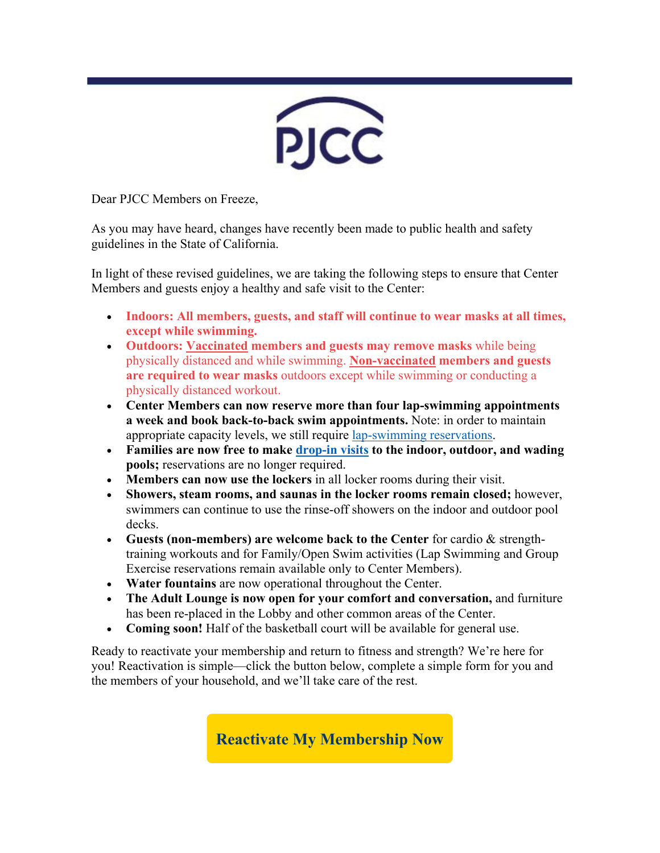

Dear PJCC Members on Freeze,

As you may have heard, changes have recently been made to public health and safety guidelines in the State of California.

In light of these revised guidelines, we are taking the following steps to ensure that Center Members and guests enjoy a healthy and safe visit to the Center:

- **Indoors: All members, guests, and staff will continue to wear masks at all times, except while swimming.**
- **Outdoors: Vaccinated members and guests may remove masks** while being physically distanced and while swimming. **Non-vaccinated members and guests are required to wear masks** outdoors except while swimming or conducting a physically distanced workout.
- **Center Members can now reserve more than four lap-swimming appointments a week and book back-to-back swim appointments.** Note: in order to maintain appropriate capacity levels, we still require [lap-swimming reservations.](https://pjcc.lt.acemlna.com/Prod/link-tracker?redirectUrl=aHR0cHMlM0ElMkYlMkZjbGllbnRzLm1pbmRib2R5b25saW5lLmNvbSUyRmNsYXNzaWMlMkZ3cyUzRnN0dWRpb2lkJTNENDEyNzMlMjZzdHlwZSUzRC0xMTU=&a=66625182&account=pjcc%2Eactivehosted%2Ecom&email=V2yqftU%2BhgJYcBNShchxdw%3D%3D&s=c42fd1951155c949e7ef75aacbebeb55&i=594A1106A3A6115)
- **Families are now free to make [drop-in visits](https://pjcc.lt.acemlna.com/Prod/link-tracker?redirectUrl=aHR0cHMlM0ElMkYlMkZwamNjLm9yZyUyRnJlb3BlbiUyRg==&a=66625182&account=pjcc%2Eactivehosted%2Ecom&email=V2yqftU%2BhgJYcBNShchxdw%3D%3D&s=c42fd1951155c949e7ef75aacbebeb55&i=594A1106A3A6096) to the indoor, outdoor, and wading pools;** reservations are no longer required.
- **Members can now use the lockers** in all locker rooms during their visit.
- **Showers, steam rooms, and saunas in the locker rooms remain closed;** however, swimmers can continue to use the rinse-off showers on the indoor and outdoor pool decks.
- **Guests (non-members) are welcome back to the Center** for cardio & strengthtraining workouts and for Family/Open Swim activities (Lap Swimming and Group Exercise reservations remain available only to Center Members).
- **Water fountains** are now operational throughout the Center.
- **The Adult Lounge is now open for your comfort and conversation,** and furniture has been re-placed in the Lobby and other common areas of the Center.
- **Coming soon!** Half of the basketball court will be available for general use.

Ready to reactivate your membership and return to fitness and strength? We're here for you! Reactivation is simple—click the button below, complete a simple form for you and the members of your household, and we'll take care of the rest.

**[Reactivate My Membership Now](https://pjcc.lt.acemlna.com/Prod/link-tracker?redirectUrl=aHR0cHMlM0ElMkYlMkZ3d3cudGZhZm9ybXMuY29tJTJGNDkwNDE0OQ==&a=66625182&account=pjcc%2Eactivehosted%2Ecom&email=V2yqftU%2BhgJYcBNShchxdw%3D%3D&s=c42fd1951155c949e7ef75aacbebeb55&i=594A1106A3A6095)**